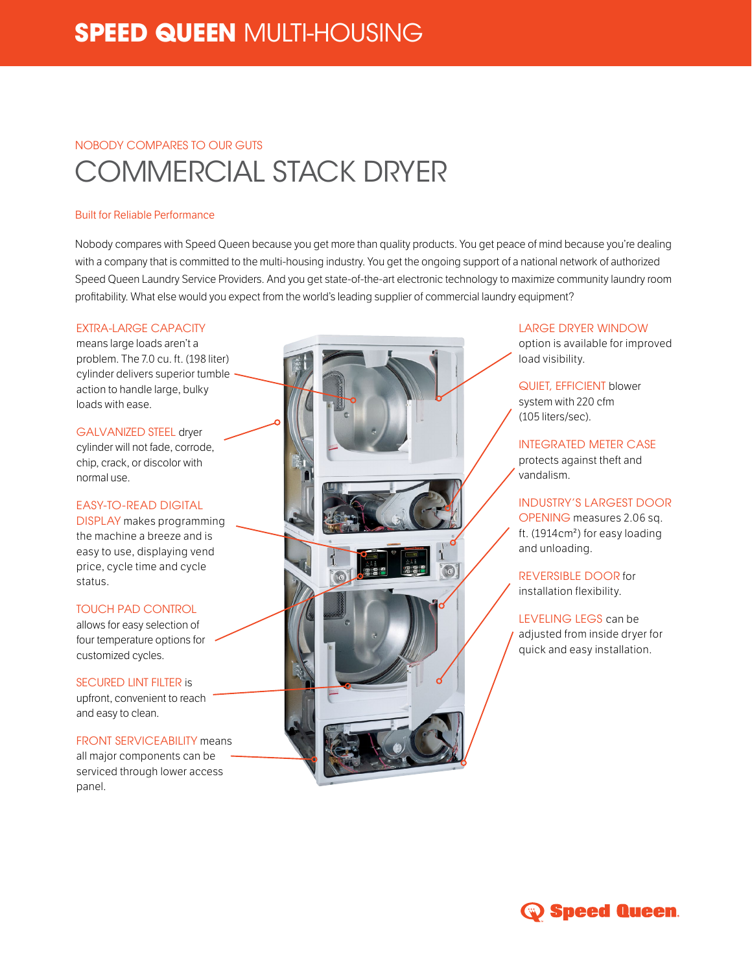# **SPEED QUEEN** MULTI-HOUSING

## NOBODY COMPARES TO OUR GUTS COMMERCIAL STACK DRYER

#### Built for Reliable Performance

Nobody compares with Speed Queen because you get more than quality products. You get peace of mind because you're dealing with a company that is committed to the multi-housing industry. You get the ongoing support of a national network of authorized Speed Queen Laundry Service Providers. And you get state-of-the-art electronic technology to maximize community laundry room profitability. What else would you expect from the world's leading supplier of commercial laundry equipment?

#### EXTRA-LARGE CAPACITY

means large loads aren't a problem. The 7.0 cu. ft. (198 liter) cylinder delivers superior tumble action to handle large, bulky loads with ease.

GALVANIZED STEEL dryer cylinder will not fade, corrode, chip, crack, or discolor with normal use.

#### EASY-TO-READ DIGITAL

DISPLAY makes programming the machine a breeze and is easy to use, displaying vend price, cycle time and cycle status.

#### TOUCH PAD CONTROL

allows for easy selection of four temperature options for customized cycles.

SECURED LINT FILTER is upfront, convenient to reach

and easy to clean.

FRONT SERVICEABILITY means all major components can be serviced through lower access panel.



#### LARGE DRYER WINDOW

option is available for improved load visibility.

QUIET, EFFICIENT blower system with 220 cfm (105 liters/sec).

INTEGRATED METER CASE protects against theft and vandalism.

INDUSTRY'S LARGEST DOOR OPENING measures 2.06 sq. ft. (1914cm²) for easy loading and unloading.

REVERSIBLE DOOR for installation flexibility.

LEVELING LEGS can be adjusted from inside dryer for quick and easy installation.